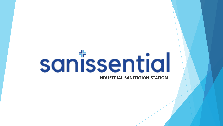# sanissential

**INDUSTRIAL SANITATION STATION**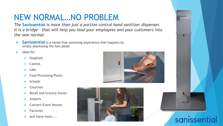# NEW NORMAL…NO PROBLEM

*The* **Sanissential** *is more than just a portion control hand sanitizer dispenser. It is a bridge – that will help you lead your employees and your customers into the new normal*

- **Sanissential** is a hands-free sanitizing experience that happens by simply depressing the foot pedal
- Ideal for:
	- $\blacktriangleright$  Hospitals
	- Casinos
	- Labs
	- Food Processing Plants
	- **Schools**
	- Churches
	- Retail and Grocery Stores
	- Airports
	- Concert/Event Venues
	- Factories
	- and many more…..







## sanissential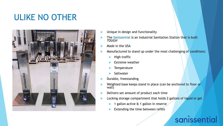# ULIKE NO OTHER



- Unique in design and functionality
- The Sanissential is an Industrial Sanitation Station that is built *TOUGH*
- Made in the USA
- Manufactured to stand up under the most challenging of conditions:
	- High traffic
	- Extreme weather
	- **Temperature**
	- Saltwater
- Durable, freestanding
- Weighted base keeps stand in place (can be anchored to floor or wall)
- Delivers set amount of product each time
- Locking storage compartment that holds 2 gallons of liquid or gel
	- 1 gallon active & 1 gallon in reserve
	- Extending the time between refills

# sanissential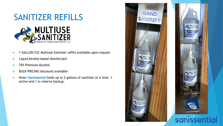

- 1 GALLON CSC Multiuse Sanitizer refills available upon request
- Liquid Alcohol based disinfectant
- 75% Premium Alcohol
- BULK PRICING discounts available
- Note: **Sanissential** holds up to 2 gallons of sanitizer at a time. 1 active and 1 in reserve backup.



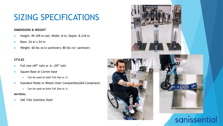# SIZING SPECIFICATIONS

#### **DIMENSIONS & WEIGHT**

- Height: 49.109-in tall; Width: 8-in; Depth: 8.218-in
- Base: 24-in x 24-in
- Weight: 60 lbs (w/o sanitizer); 80 lbs (w/ sanitizer)

#### **STYLES**

- Full size (49" tall) or Jr. (39" tall)
- Square Base or Corner base
	- **Can be used on both Full Size or Jr.**
- Standard Pedal or Wheel Chair Compatible(ADA Compliant)
	- **Can be used on both Full Size or Jr.**

#### **MATERIAL**

SAE 316L Stainless Steel

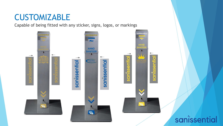## CUSTOMIZABLE

Capable of being fitted with any sticker, signs, logos, or markings